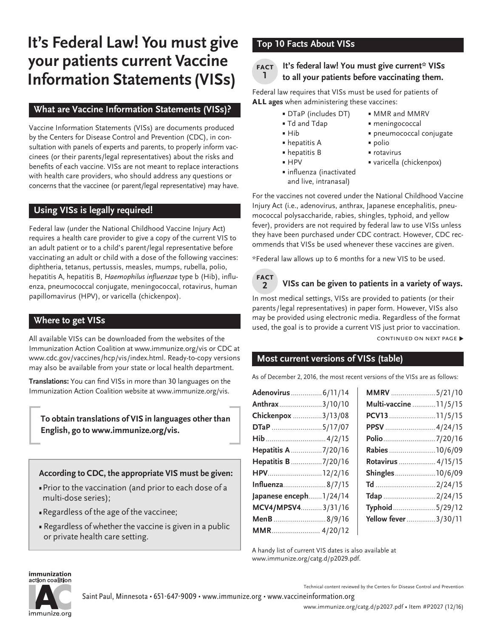# **It's Federal Law! You must give your patients current Vaccine Information Statements (VISs)**

## **What are Vaccine Information Statements (VISs)?**

Vaccine Information Statements (VISs) are documents produced by the Centers for Disease Control and Prevention (CDC), in consultation with panels of experts and parents, to properly inform vaccinees (or their parents/legal representatives) about the risks and benefits of each vaccine. VISs are not meant to replace interactions with health care providers, who should address any questions or concerns that the vaccinee (or parent/legal representative) may have.

## **Using VISs is legally required!**

Federal law (under the National Childhood Vaccine Injury Act) requires a health care provider to give a copy of the current VIS to an adult patient or to a child's parent/legal representative before vaccinating an adult or child with a dose of the following vaccines: diphtheria, tetanus, pertussis, measles, mumps, rubella, polio, hepatitis A, hepatitis B, Haemophilus influenzae type b (Hib), influenza, pneumococcal conjugate, meningococcal, rotavirus, human papillomavirus (HPV), or varicella (chickenpox).

## **Where to get VISs**

All available VISs can be downloaded from the websites of the Immunization Action Coalition at www.immunize.org/vis or CDC at [www.cdc.gov/vaccines/hcp/vis/index.html](http://www.cdc.gov/vaccines/hcp/vis/index.html). Ready-to-copy versions may also be available from your state or local health department.

**Translations:** You can find VISs in more than 30 languages on the Immunization Action Coalition website at [www.immunize.org/vis.](http://www.immunize.org/vis)

**To obtain translations of VIS in languages other than English, go to www.immunize.org/vis.** 

**According to CDC, the appropriate VIS must be given:**

- Prior to the vaccination (and prior to each dose of a multi-dose series);
- **Regardless of the age of the vaccinee;**
- **Regardless of whether the vaccine is given in a public** or private health care setting.

## **Top 10 Facts About VISs**

#### **It's federal law! You must give current\* VISs to all your patients before vaccinating them. fact 1**

Federal law requires that VISs must be used for patients of **all ages** when administering these vaccines:

- DTaP (includes DT) MMR and MMRV
	-
- Td and Tdap meningococcal
- Hib pneumococcal conjugate
- hepatitis A polio
- hepatitis B rotavirus
	-
- influenza (inactivated and live, intranasal)
- HPV varicella (chickenpox)

For the vaccines not covered under the National Childhood Vaccine Injury Act (i.e., adenovirus, anthrax, Japanese encephalitis, pneumococcal polysaccharide, rabies, shingles, typhoid, and yellow fever), providers are not required by federal law to use VISs unless they have been purchased under CDC contract. However, CDC recommends that VISs be used whenever these vaccines are given.

\*Federal law allows up to 6 months for a new VIS to be used.



## **VISs can be given to patients in a variety of ways.**

In most medical settings, VISs are provided to patients (or their parents/legal representatives) in paper form. However, VISs also may be provided using electronic media. Regardless of the format used, the goal is to provide a current VIS just prior to vaccination.

CONTINUED ON NEXT PAGE ▶

## **Most current versions of VISs (table)**

As of December 2, 2016, the most recent versions of the VISs are as follows:

| Adenovirus  6/11/14    | MMRV 5/21/10           |
|------------------------|------------------------|
| Anthrax3/10/10         | Multi-vaccine  11/5/15 |
| Chickenpox 3/13/08     | PCV13 11/5/15          |
| <b>DTaP</b> 5/17/07    | PPSV 4/24/15           |
|                        | Polio 7/20/16          |
| Hepatitis A 7/20/16    | Rabies 10/6/09         |
| Hepatitis B7/20/16     | Rotavirus  4/15/15     |
| HPV12/2/16             | Shingles10/6/09        |
| Influenza8/7/15        |                        |
| Japanese enceph1/24/14 | Tdap 2/24/15           |
| MCV4/MPSV43/31/16      | Typhoid5/29/12         |
| MenB8/9/16             | Yellow fever3/30/11    |
| MMR 4/20/12            |                        |

A handy list of current VIS dates is also available at [www.immunize.org/catg.d/p](http://www.immunize.org/catg.d/p2029.pdf)2029.pdf.

#### immunization action coalition



Technical content reviewed by the Centers for Disease Control and Prevention

Saint Paul, Minnesota • 651-647-9009 • [www.immunize.org](http://www.immunize.org) • [www.vaccineinformation.org](http://www.vaccineinformation.org)

[www.immunize.org/catg.d/](http://www.immunize.org/catg.d/p2027.pdf)p2027.pdf • Item #P2027 (12/16)